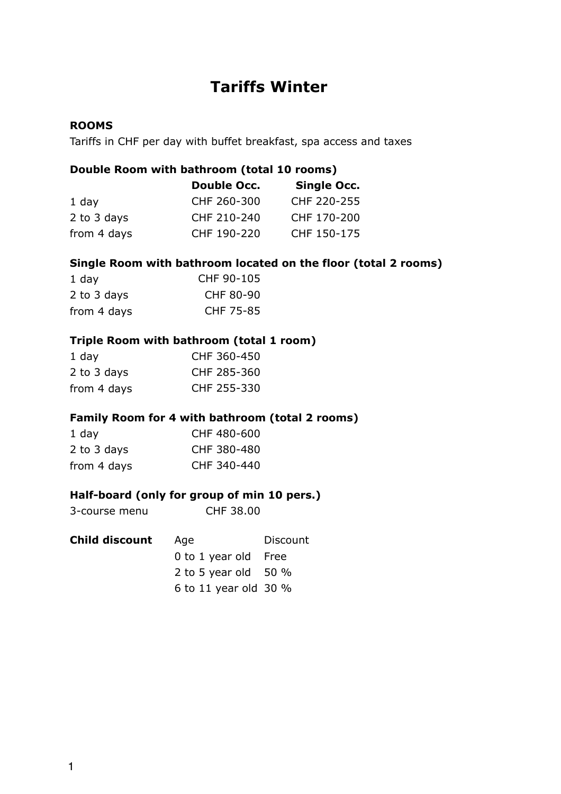## **Tariffs Winter**

#### **ROOMS**

Tariffs in CHF per day with buffet breakfast, spa access and taxes

### **Double Room with bathroom (total 10 rooms)**

|             | <b>Double Occ.</b> | <b>Single Occ.</b> |
|-------------|--------------------|--------------------|
| 1 day       | CHF 260-300        | CHF 220-255        |
| 2 to 3 days | CHF 210-240        | CHF 170-200        |
| from 4 days | CHF 190-220        | CHF 150-175        |

### **Single Room with bathroom located on the floor (total 2 rooms)**

| 1 day       | CHF 90-105       |
|-------------|------------------|
| 2 to 3 days | <b>CHF 80-90</b> |
| from 4 days | CHF 75-85        |

### **Triple Room with bathroom (total 1 room)**

| 1 day       | CHF 360-450 |
|-------------|-------------|
| 2 to 3 days | CHF 285-360 |
| from 4 days | CHF 255-330 |

### **Family Room for 4 with bathroom (total 2 rooms)**

| 1 day       | CHF 480-600 |
|-------------|-------------|
| 2 to 3 days | CHF 380-480 |
| from 4 days | CHF 340-440 |

### **Half-board (only for group of min 10 pers.)**

3-course menu CHF 38.00

| Child discount | Age                    | <b>Discount</b> |
|----------------|------------------------|-----------------|
|                | 0 to 1 year old Free   |                 |
|                | 2 to 5 year old $50\%$ |                 |
|                | 6 to 11 year old 30 %  |                 |